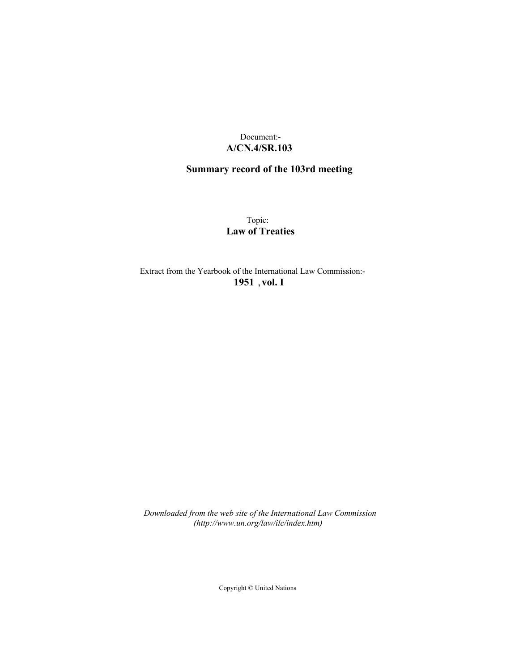## Document:- **A/CN.4/SR.103**

# **Summary record of the 103rd meeting**

Topic: **Law of Treaties**

Extract from the Yearbook of the International Law Commission:- **1951** ,**vol. I**

*Downloaded from the web site of the International Law Commission (http://www.un.org/law/ilc/index.htm)*

Copyright © United Nations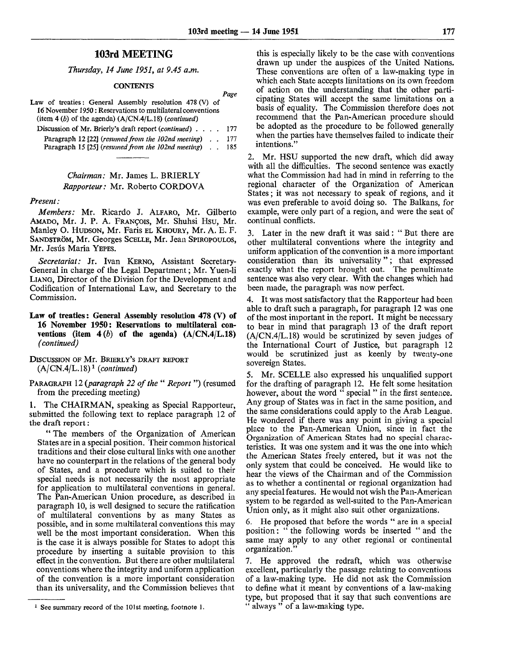*Page*

## 103rd MEETING

*Thursday, 14 June 1951, at 9.45 a.m.*

#### **CONTENTS**

| Law of treaties: General Assembly resolution 478 (V) of         |     |
|-----------------------------------------------------------------|-----|
| 16 November 1950 : Reservations to multilateral conventions     |     |
| (item 4 (b) of the agenda) $(A/CN.4/L.18)$ ( <i>continued</i> ) |     |
| Discussion of Mr. Brierly's draft report (continued) 177        |     |
| Paragraph 12 [22] (resumed from the 102nd meeting).             | 177 |
| Paragraph 15 [25] (resumed from the 102nd meeting).             | 185 |

### *Chairman:* Mr. James L. BRIERLY *Rapporteur:* Mr. Roberto CORDOVA

#### *Present:*

*Members:* Mr. Ricardo J. ALFARO, Mr. Gilberto AMADO, Mr. J. P. A. FRANCOIS, Mr. Shuhsi Hsu, Mr. Manley O. HUDSON, Mr. Faris EL KHOURY, Mr. A. E. F. SANDSTRÖM, Mr. Georges SCELLE, Mr. Jean SPIROPOULOS, Mr. Jesús María YEPES.

*Secretariat:* Jr. Ivan KERNO, Assistant Secretary-General in charge of the Legal Department; Mr. Yuen-li LIANG, Director of the Division for the Development and Codification of International Law, and Secretary to the Commission.

### **Law of treaties: General Assembly resolution 478 (V) of 16 November 1950: Reservations to multilateral con**ventions (item  $4(b)$  of the agenda)  $(A/CN, 4/L, 18)$ *(continued)*

DISCUSSION OF Mr. BRIERLY'S DRAFT REPORT (A/CN.4/L.18)<sup>1</sup>  *(continued)*

PARAGRAPH 12 *(paragraph 22 of the* " *Report* ") (resumed from the preceding meeting)

1. The CHAIRMAN, speaking as Special Rapporteur, submitted the following text to replace paragraph 12 of the draft report:

" The members of the Organization of American States are in a special position. Their common historical traditions and their close cultural links with one another have no counterpart in the relations of the general body of States, and a procedure which is suited to their special needs is not necessarily the most appropriate for application to multilateral conventions in general. The Pan-American Union procedure, as described in paragraph 10, is well designed to secure the ratification of multilateral conventions by as many States as possible, and in some multilateral conventions this may well be the most important consideration. When this is the case it is always possible for States to adopt this procedure by inserting a suitable provision to this effect in the convention. But there are other multilateral conventions where the integrity and uniform application of the convention is a more important consideration than its universality, and the Commission believes that

this is especially likely to be the case with conventions drawn up under the auspices of the United Nations. These conventions are often of a law-making type in which each State accepts limitations on its own freedom of action on the understanding that the other participating States will accept the same limitations on a basis of equality. The Commission therefore does not recommend that the Pan-American procedure should be adopted as the procedure to be followed generally when the parties have themselves failed to indicate their intentions."

2. Mr. HSU supported the new draft, which did away with all the difficulties. The second sentence was exactly what the Commission had had in mind in referring to the regional character of the Organization of American States; it was not necessary to speak of regions, and it was even preferable to avoid doing so. The Balkans, for example, were only part of a region, and were the seat of continual conflicts.

3. Later in the new draft it was said: " But there are other multilateral conventions where the integrity and uniform application of the convention is a more important consideration than its universality"; that expressed exactly what the report brought out. The penultimate sentence was also very clear. With the changes which had been made, the paragraph was now perfect.

4. It was most satisfactory that the Rapporteur had been able to draft such a paragraph, for paragraph 12 was one of the most important in the report. It might be necessary to bear in mind that paragraph 13 of the draft report  $(A/CN.4/L.18)$  would be scrutinized by seven judges of the International Court of Justice, but paragraph 12 would be scrutinized just as keenly by twenty-one sovereign States.

5. Mr. SCELLE also expressed his unqualified support for the drafting of paragraph 12. He felt some hesitation however, about the word " special " in the first sentence. Any group of States was in fact in the same position, and the same considerations could apply to the Arab League. He wondered if there was any point in giving a special place to the Pan-American Union, since in fact the Organization of American States had no special characteristics. It was one system and it was the one into which the American States freely entered, but it was not the only system that could be conceived. He would like to hear the views of the Chairman and of the Commission as to whether a continental or regional organization had any special features. He would not wish the Pan-American system to be regarded as well-suited to the Pan-American Union only, as it might also suit other organizations.

6. He proposed that before the words " are in a special position: " the following words be inserted " and the same may apply to any other regional or continental organization."

7. He approved the redraft, which was otherwise excellent, particularly the passage relating to conventions of a law-making type. He did not ask the Commission to define what it meant by conventions of a law-making type, but proposed that it say that such conventions are always " of a law-making type.

<sup>&</sup>lt;sup>1</sup> See summary record of the 101st meeting, footnote 1.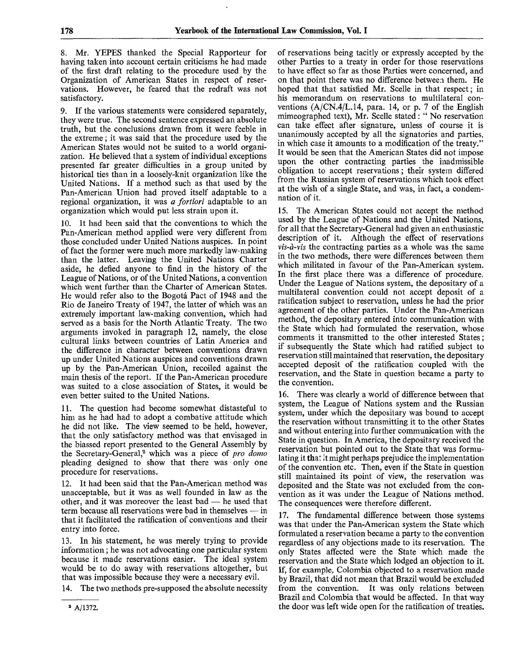8. Mr. YEPES thanked the Special Rapporteur for having taken into account certain criticisms he had made of the first draft relating to the procedure used by the Organization of American States in respect of reservations. However, he feared that the redraft was not satisfactory.

9. If the various statements were considered separately, they were true. The second sentence expressed an absolute truth, but the conclusions drawn from it were feeble in the extreme; it was said that the procedure used by the American States would not be suited to a world organization. He believed that a system of individual exceptions presented far greater difficulties in a group united by historical ties than in a loosely-knit organization like the United Nations. If a method such as that used by the Pan-American Union had proved itself adaptable to a regional organization, it was *a fortiori* adaptable to an organization which would put less strain upon it.

10. It had been said that the conventions to which the Pan-American method applied were very different from those concluded under United Nations auspices. In point of fact the former were much more markedly law-making than the latter. Leaving the United Nations Charter aside, he defied anyone to find in the history of the League of Nations, or of the United Nations, a convention which went further than the Charter of American States. He would refer also to the Bogota Pact of 1948 and the Rio de Janeiro Treaty of 1947, the latter of which was an extremely important law-making convention, which had served as a basis for the North Atlantic Treaty. The two arguments invoked in paragraph 12, namely, the close cultural links between countries of Latin America and the difference in character between conventions drawn up under United Nations auspices and conventions drawn up by the Pan-American Union, recoiled against the main thesis of the report. If the Pan-American procedure was suited to a close association of States, it would be even better suited to the United Nations.

11. The question had become somewhat distasteful to him as he had had to adopt a combative attitude which he did not like. The view seemed to be held, however, that the only satisfactory method was that envisaged in the biassed report presented to the General Assembly by the Secretary-General,<sup>2</sup> which was a piece of *pro domo* pleading designed to show that there was only one procedure for reservations.

12. It had been said that the Pan-American method was unacceptable, but it was as well founded in law as the other, and it was moreover the least bad — he used that term because all reservations were bad in themselves — in that it facilitated the ratification of conventions and their entry into force.

13. In his statement, he was merely trying to provide information; he was not advocating one particular system because it made reservations easier. The ideal system would be to do away with reservations altogether, but that was impossible because they were a necessary evil.

14. The two methods pre-supposed the absolute necessity

15. The American States could not accept the method used by the League of Nations and the United Nations, for all that the Secretary-General had given an enthusiastic description of it. Although the effect of reservations *vis-a-vis* the contracting parties as a whole was the same in the two methods, there were differences between them which militated in favour of the Pan-American system. In the first place there was a difference of procedure. Under the League of Nations system, the depositary of a multilateral convention could not accept deposit of a ratification subject to reservation, unless he had the prior agreement of the other parties. Under the Pan-American method, the depositary entered into communication with the State which had formulated the reservation, whose comments it transmitted to the other interested States; if subsequently the State which had ratified subject to reservation still maintained that reservation, the depositary accepted deposit of the ratification coupled with the reservation, and the State in question became a party to the convention.

16. There was clearly a world of difference between that system, the League of Nations system and the Russian system, under which the depositary was bound to accept the reservation without transmitting it to the other States and without entering into further communication with the State in question. In America, the depositary received the reservation but pointed out to the State that was formulating it that it might perhaps prejudice the implementation of the convention etc. Then, even if the State in question still maintained its point of view, the reservation was deposited and the State was not excluded from the convention as it was under the League of Nations method. The consequences were therefore different.

17. The fundamental difference between those systems was that under the Pan-American system the State which formulated a reservation became a party to the convention regardless of any objections made to its reservation. The only States affected were the State which made the reservation and the State which lodged an objection to it. If, for example. Colombia objected to a reservation made by Brazil, that did not mean that Brazil would be excluded from the convention. It was only relations between Brazil and Colombia that would be affected. In that way the door was left wide open for the ratification of treaties.

of reservations being tacitly or expressly accepted by the other Parties to a treaty in order for those reservations to have effect so far as those Parties were concerned, and on that point there was no difference between them. He hoped that that satisfied Mr. Scelle in that respect; in his memorandum on reservations to multilateral conventions  $(A/CN.4/L.14, para. 14, or p. 7 of the English$ mimeographed text), Mr. Scelle stated: " No reservation can take effect after signature, unless of course it is unanimously accepted by all the signatories and parties, in which case it amounts to a modification of the treaty." It would be seen that the American States did not impose upon the other contracting parties the inadmissible obligation to accept reservations; their system differed from the Russian system of reservations which took effect at the wish of a single State, and was, in fact, a condemnation of it.

<sup>2</sup> A/1372.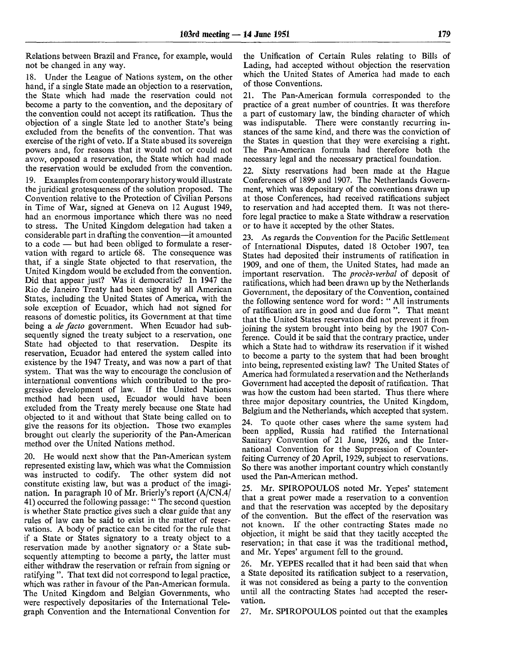Relations between Brazil and France, for example, would not be changed in any way.

18. Under the League of Nations system, on the other hand, if a single State made an objection to a reservation, the State which had made the reservation could not become a party to the convention, and the depositary of the convention could not accept its ratification. Thus the objection of a single State led to another State's being excluded from the benefits of the convention. That was exercise of the right of veto. If a State abused its sovereign powers and, for reasons that it would not or could not avow, opposed a reservation, the State which had made the reservation would be excluded from the convention.

19. Examples from contemporary history would illustrate the juridical grotesqueness of the solution proposed. The Convention relative to the Protection of Civilian Persons in Time of War, signed at Geneva on 12 August 1949, had an enormous importance which there was no need to stress. The United Kingdom delegation had taken a considerable part in drafting the convention—it amounted to a code — but had been obliged to formulate a reservation with regard to article 68. The consequence was that, if a single State objected to that reservation, the United Kingdom would be excluded from the convention. Did that appear just? Was it democratic? In 1947 the Rio de Janeiro Treaty had been signed by all American States, including the United States of America, with the sole exception of Ecuador, which had not signed for reasons of domestic politics, its Government at that time being a *de facto* government. When Ecuador had subsequently signed the treaty subject to a reservation, one State had objected to that reservation. Despite its reservation, Ecuador had entered the system called into existence by the 1947 Treaty, and was now a part of that system. That was the way to encourage the conclusion of international conventions which contributed to the progressive development of law. If the United Nations method had been used, Ecuador would have been excluded from the Treaty merely because one State had objected to it and without that State being called on to give the reasons for its objection. Those two examples brought out clearly the superiority of the Pan-American method over the United Nations method.

He would next show that the Pan-American system represented existing law, which was what the Commission was instructed to codify. The other system did not constitute existing law, but was a product of the imagination. In paragraph 10 of Mr. Brierly's report (A/CN.4/ 41) occurred the following passage: " The second question is whether State practice gives such a clear guide that any rules of law can be said to exist in the matter of reservations. A body of practice can be cited for the rule that if a State or States signatory to a treaty object to a reservation made by another signatory or a State subsequently attempting to become a party, the latter must either withdraw the reservation or refrain from signing or ratifying ". That text did not correspond to legal practice, which was rather in favour of the Pan-American formula. The United Kingdom and Belgian Governments, who were respectively depositaries of the International Telegraph Convention and the International Convention for

the Unification of Certain Rules relating to Bills of Lading, had accepted without objection the reservation which the United States of America had made to each of those Conventions.

21. The Pan-American formula corresponded to the practice of a great number of countries. It was therefore a part of customary law, the binding character of which was indisputable. There were constantly recurring instances of the same kind, and there was the conviction of the States in question that they were exercising a right. The Pan-American formula had therefore both the necessary legal and the necessary practical foundation.

22. Sixty reservations had been made at the Hague Conferences of 1899 and 1907. The Netherlands Government, which was depositary of the conventions drawn up at those Conferences, had received ratifications subject to reservation and had accepted them. It was not therefore legal practice to make a State withdraw a reservation or to have it accepted by the other States.

23. As regards the Convention for the Pacific Settlement of International Disputes, dated 18 October 1907, ten States had deposited their instruments of ratification in 1909, and one of them, the United States, had made an important reservation. The *proces-verbal* of deposit of ratifications, which had been drawn up by the Netherlands Government, the depositary of the Convention, contained the following sentence word for word: " All instruments of ratification are in good and due form ". That meant that the United States reservation did not prevent it from joining the system brought into being by the 1907 Conference. Could it be said that the contrary practice, under which a State had to withdraw its reservation if it wished to become a party to the system that had been brought into being, represented existing law? The United States of America had formulated a reservation and the Netherlands Government had accepted the deposit of ratification. That was how the custom had been started. Thus there where three major depositary countries, the United Kingdom, Belgium and the Netherlands, which accepted that system.

24. To quote other cases where the same system had been applied, Russia had ratified the International Sanitary Convention of 21 June, 1926, and the International Convention for the Suppression of Counterfeiting Currency of 20 April, 1929, subject to reservations. So there was another important country which constantly used the Pan-American method.

25. Mr. SPIROPOULOS noted Mr. Yepes' statement that a great power made a reservation to a convention and that the reservation was accepted by the depositary of the convention. But the effect of the reservation was not known. If the other contracting States made no objection, it might be said that they tacitly accepted the reservation; in that case it was the traditional method, and Mr. Yepes' argument fell to the ground.

26. Mr. YEPES recalled that it had been said that when a State deposited its ratification subject to a reservation, it was not considered as being a party to the convention until all the contracting States had accepted the reservation.

27. Mr. SPIROPOULOS pointed out that the examples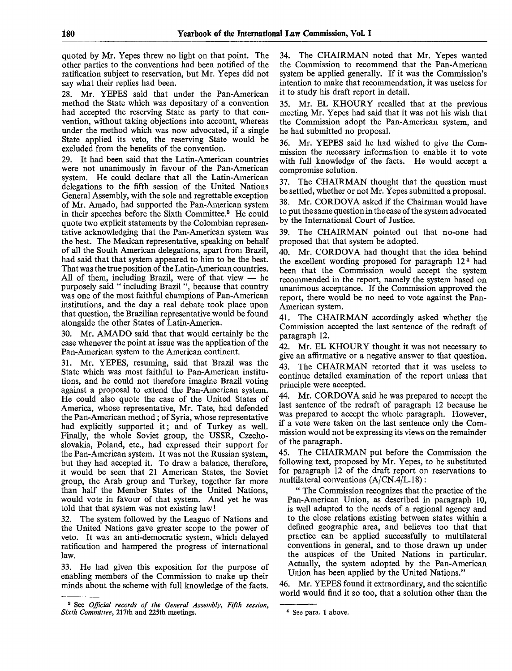quoted by Mr. Yepes threw no light on that point. The other parties to the conventions had been notified of the ratification subject to reservation, but Mr. Yepes did not say what their replies had been.

28. Mr. YEPES said that under the Pan-American method the State which was depositary of a convention had accepted the reserving State as party to that convention, without taking objections into account, whereas under the method which was now advocated, if a single State applied its veto, the reserving State would be excluded from the benefits of the convention.

29. It had been said that the Latin-American countries were not unanimously in favour of the Pan-American system. He could declare that all the Latin-American delegations to the fifth session of the United Nations General Assembly, with the sole and regrettable exception of Mr. Amado, had supported the Pan-American system in their speeches before the Sixth Committee.<sup>3</sup> He could quote two explicit statements by the Colombian representative acknowledging that the Pan-American system was the best. The Mexican representative, speaking on behalf of all the South American delegations, apart from Brazil, had said that that system appeared to him to be the best. That was the true position of the Latin-American countries. All of them, including Brazil, were of that view  $-$  he purposely said " including Brazil ", because that country was one of the most faithful champions of Pan-American institutions, and the day a real debate took place upon that question, the Brazilian representative would be found alongside the other States of Latin-America.

30. Mr. AMADO said that that would certainly be the case whenever the point at issue was the application of the Pan-American system to the American continent.

31. Mr. YEPES, resuming, said that Brazil was the State which was most faithful to Pan-American institutions, and he could not therefore imagine Brazil voting against a proposal to extend the Pan-American system. He could also quote the case of the United States of America, whose representative, Mr. Tate, had defended the Pan-American method; of Syria, whose representative had explicitly supported it; and of Turkey as well. Finally, the whole Soviet group, the USSR, Czechoslovakia, Poland, etc., had expressed their support for the Pan-American system. It was not the Russian system, but they had accepted it. To draw a balance, therefore, it would be seen that 21 American States, the Soviet group, the Arab group and Turkey, together far more than half the Member States of the United Nations, would vote in favour of that system. And yet he was told that that system was not existing law!

32. The system followed by the League of Nations and the United Nations gave greater scope to the power of veto. It was an anti-democratic system, which delayed ratification and hampered the progress of international law.

33. He had given this exposition for the purpose of enabling members of the Commission to make up their minds about the scheme with full knowledge of the facts.

34. The CHAIRMAN noted that Mr. Yepes wanted the Commission to recommend that the Pan-American system be applied generally. If it was the Commission's intention to make that recommendation, it was useless for it to study his draft report in detail.

35. Mr. EL KHOURY recalled that at the previous meeting Mr. Yepes had said that it was not his wish that the Commission adopt the Pan-American system, and he had submitted no proposal.

36. Mr. YEPES said he had wished to give the Commission the necessary information to enable it to vote with full knowledge of the facts. He would accept a compromise solution.

37. The CHAIRMAN thought that the question must be settled, whether or not Mr. Yepes submitted a proposal.

38. Mr. CORDOVA asked if the Chairman would have to put the same question in the case of the system advocated by the International Court of Justice.

39. The CHAIRMAN pointed out that no-one had proposed that that system be adopted.

40. Mr. CORDOVA had thought that the idea behind the excellent wording proposed for paragraph 12<sup>4</sup> had been that the Commission would accept the system recommended in the report, namely the system based on unanimous acceptance. If the Commission approved the report, there would be no need to vote against the Pan-American system.

41. The CHAIRMAN accordingly asked whether the Commission accepted the last sentence of the redraft of paragraph 12.

42. Mr. EL KHOURY thought it was not necessary to give an affirmative or a negative answer to that question. 43. The CHAIRMAN retorted that it was useless to continue detailed examination of the report unless that principle were accepted.

44. Mr. CORDOVA said he was prepared to accept the last sentence of the redraft of paragraph 12 because he was prepared to accept the whole paragraph. However, if a vote were taken on the last sentence only the Commission would not be expressing its views on the remainder of the paragraph.

45. The CHAIRMAN put before the Commission the following text, proposed by Mr. Yepes, to be substituted for paragraph 12 of the draft report on reservations to multilateral conventions (A/CN.4/L.18):

" The Commission recognizes that the practice of the Pan-American Union, as described in paragraph 10, is well adapted to the needs of a regional agency and to the close relations existing between states within a defined geographic area, and believes too that that practice can be applied successfully to multilateral conventions in general, and to those drawn up under the auspices of the United Nations in particular. Actually, the system adopted by the Pan-American Union has been applied by the United Nations."

46. Mr. YEPES found it extraordinary, and the scientific world would find it so too, that a solution other than the

<sup>3</sup> See *Official records of the General Assembly, Fifth session, Sixth Committee,* 217th and 225th meetings.

<sup>4</sup> See para. 1 above.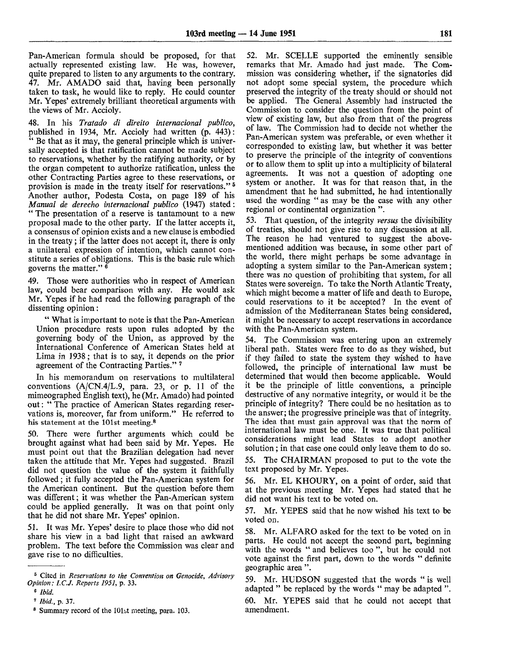Pan-American formula should be proposed, for that actually represented existing law. He was, however, actually represented existing law. quite prepared to listen to any arguments to the contrary. 47. Mr. AMADO said that, having been personally taken to task, he would like to reply. He could counter Mr. Yepes' extremely brilliant theoretical arguments with the views of Mr. Accioly.

48. In his *Tratado di direito international publico,* published in 1934, Mr. Accioly had written (p. 443): " Be that as it may, the general principle which is universally accepted is that ratification cannot be made subject to reservations, whether by the ratifying authority, or by the organ competent to authorize ratification, unless the other Contracting Parties agree to these reservations, or provision is made in the treaty itself for reservations."<sup>5</sup> Another author, Podesta Costa, on page 189 of his *Manual de derecho international publico* (1947) stated: " The presentation of a reserve is tantamount to a new proposal made to the other party. If the latter accepts it, a consensus of opinion exists and a new clause is embodied in the treaty ; if the latter does not accept it, there is only a unilateral expression of intention, which cannot constitute a series of obligations. This is the basic rule which governs the matter."  $\frac{3}{5}$ 

49. Those were authorities who in respect of American law, could bear comparison with any. He would ask Mr. Yepes if he had read the following paragraph of the dissenting opinion:

" What is important to note is that the Pan-American Union procedure rests upon rules adopted by the governing body of the Union, as approved by the International Conference of American States held at Lima in 1938; that is to say, it depends on the prior agreement of the Contracting Parties."<sup>7</sup>

In his memorandum on reservations to multilateral conventions  $(A/CN.4/L.9, \text{para. } 23, \text{ or } p. 11 \text{ of the})$ mimeographed English text), he (Mr. Amado) had pointed out: " The practice of American States regarding reservations is, moreover, far from uniform." He referred to his statement at the 101st meeting.<sup>8</sup>

50. There were further arguments which could be brought against what had been said by Mr. Yepes. He must point out that the Brazilian delegation had never taken the attitude that Mr. Yepes had suggested. Brazil did not question the value of the system it faithfully followed; it fully accepted the Pan-American system for the American continent. But the question before them was different; it was whether the Pan-American system could be applied generally. It was on that point only that he did not share Mr. Yepes' opinion.

51. It was Mr. Yepes' desire to place those who did not share his view in a bad light that raised an awkward problem. The text before the Commission was clear and gave rise to no difficulties.

52. Mr. SCELLE supported the eminently sensible remarks that Mr. Amado had just made. The Commission was considering whether, if the signatories did not adopt some special system, the procedure which preserved the integrity of the treaty should or should not be applied. The General Assembly had instructed the Commission to consider the question from the point of view of existing law, but also from that of the progress of law. The Commission had to decide not whether the Pan-American system was preferable, or even whether it corresponded to existing law, but whether it was better to preserve the principle of the integrity of conventions or to allow them to split up into a multiplicity of bilateral agreements. It was not a question of adopting one system or another. It was for that reason that, in the amendment that he had submitted, he had intentionally used the wording " as may be the case with any other regional or continental organization ".

53. That question, of the integrity *versus* the divisibility of treaties, should not give rise to any discussion at all. The reason he had ventured to suggest the abovementioned addition was because, in some other part of the world, there might perhaps be some advantage in adopting a system similar to the Pan-American system; there was no question of prohibiting that system, for all States were sovereign. To take the North Atlantic Treaty, which might become a matter of life and death to Europe, could reservations to it be accepted? In the event of admission of the Mediterranean States being considered, it might be necessary to accept reservations in accordance with the Pan-American system.

54. The Commission was entering upon an extremely liberal path. States were free to do as they wished, but if they failed to state the system they wished to have followed, the principle of international law must be determined that would then become applicable. Would it be the principle of little conventions, a principle destructive of any normative integrity, or would it be the principle of integrity? There could be no hesitation as to the answer; the progressive principle was that of integrity. The idea that must gain approval was that the norm of international law must be one. It was true that political considerations might lead States to adopt another solution; in that case one could only leave them to do so.

55. The CHAIRMAN proposed to put to the vote the text proposed by Mr. Yepes.

56. Mr. EL KHOURY, on a point of order, said that at the previous meeting Mr. Yepes had stated that he did not want his text to be voted on.

57. Mr. YEPES said that he now wished his text to be voted on.

58. Mr. ALFARO asked for the text to be voted on in parts. He could not accept the second part, beginning with the words " and believes too", but he could not vote against the first part, down to the words " definite geographic area ".

59. Mr. HUDSON suggested that the words " is well adapted " be replaced by the words " may be adapted ".

60. Mr. YEPES said that he could not accept that amendment.

<sup>6</sup> Cited in *Reservations to the Convention on Genocide, Advisory Opinion: I.C.J. Reports 1951,* p. 33.

*<sup>6</sup> Ibid.*

<sup>7</sup>  *Ibid.,* p. 37.

<sup>&</sup>lt;sup>8</sup> Summary record of the 101st meeting, para. 103.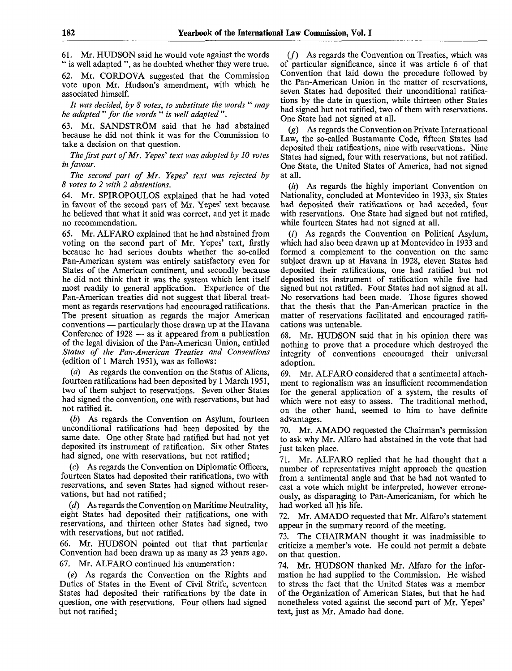61. Mr. HUDSON said he would vote against the words " is well adapted ", as he doubted whether they were true.

62. Mr. CORDOVA suggested that the Commission vote upon Mr. Hudson's amendment, with which he associated himself.

*It was decided, by 8 votes, to substitute the words* " *may be adapted "for the words* " *is well adapted ".*

63. Mr. SANDSTRÖM said that he had abstained because he did not think it was for the Commission to take a decision on that question.

*The first part of Mr. Yepes' text was adopted by 10 votes in favour.*

*The second part of Mr. Yepes'' text was rejected by 8 votes to 2 with 2 abstentions.*

64. Mr. SPIROPOULOS explained that he had voted in favour of the second part of Mr. Yepes' text because he believed that what it said was correct, and yet it made no recommendation.

65. Mr. ALFARO explained that he had abstained from voting on the second part of Mr. Yepes' text, firstly because he had serious doubts whether the so-called Pan-American system was entirely satisfactory even for States of the American continent, and secondly because he did not think that it was the system which lent itself most readily to general application. Experience of the Pan-American treaties did not suggest that liberal treatment as regards reservations had encouraged ratifications. The present situation as regards the major American conventions — particularly those drawn up at the Havana Conference of 1928 — as it appeared from a publication of the legal division of the Pan-American Union, entitled *Status of the Pan-American Treaties and Conventions* (edition of 1 March 1951), was as follows:

As regards the convention on the Status of Aliens, fourteen ratifications had been deposited by 1 March 1951, two of them subject to reservations. Seven other States had signed the convention, one with reservations, but had not ratified it.

*(b)* As regards the Convention on Asylum, fourteen unconditional ratifications had been deposited by the same date. One other State had ratified but had not yet deposited its instrument of ratification. Six other States had signed, one with reservations, but not ratified;

(c) As regards the Convention on Diplomatic Officers, fourteen States had deposited their ratifications, two with reservations, and seven States had signed without reservations, but had not ratified;

*(d)* As regards the Convention on Maritime Neutrality, eight States had deposited their ratifications, one with reservations, and thirteen other States had signed, two with reservations, but not ratified.

66. Mr. HUDSON pointed out that that particular Convention had been drawn up as many as 23 years ago. 67. Mr. ALFARO continued his enumeration:

(e) As regards the Convention on the Rights and Duties of States in the Event of Civil Strife, seventeen States had deposited their ratifications by the date in question, one with reservations. Four others had signed but not ratified;

 $(f)$  As regards the Convention on Treaties, which was of particular significance, since it was article 6 of that Convention that laid down the procedure followed by the Pan-American Union in the matter of reservations, seven States had deposited their unconditional ratifications by the date in question, while thirteen other States had signed but not ratified, two of them with reservations. One State had not signed at all.

(g) As regards the Convention on Private International Law, the so-called Bustamante Code, fifteen States had deposited their ratifications, nine with reservations. Nine States had signed, four with reservations, but not ratified. One State, the United States of America, had not signed at all.

 $(h)$  As regards the highly important Convention on Nationality, concluded at Montevideo in 1933, six States had deposited their ratifications or had acceded, four with reservations. One State had signed but not ratified, while fourteen States had not signed at all.

(?) As regards the Convention on Political Asylum, which had also been drawn up at Montevideo in 1933 and formed a complement to the convention on the same subject drawn up at Havana in 1928, eleven States had deposited their ratifications, one had ratified but not deposited its instrument of ratification while five had signed but not ratified. Four States had not signed at all. No reservations had been made. Those figures showed that the thesis that the Pan-American practice in the matter of reservations facilitated and encouraged ratifications was untenable.

68. Mr. HUDSON said that in his opinion there was nothing to prove that a procedure which destroyed the integrity of conventions encouraged their universal adoption.

69. Mr. ALFARO considered that a sentimental attachment to regionalism was an insufficient recommendation for the general application of a system, the results of which were not easy to assess. The traditional method, on the other hand, seemed to him to have definite advantages.

70. Mr. AMADO requested the Chairman's permission to ask why Mr. Alfaro had abstained in the vote that had just taken place.

71. Mr. ALFARO replied that he had thought that a number of representatives might approach the question from a sentimental angle and that he had not wanted to cast a vote which might be interpreted, however erroneously, as disparaging to Pan-Americanism, for which he had worked all his life.

72. Mr. AMADO requested that Mr. Alfaro's statement appear in the summary record of the meeting.

73. The CHAIRMAN thought it was inadmissible to criticize a member's vote. He could not permit a debate on that question.

74. Mr. HUDSON thanked Mr. Alfaro for the information he had supplied to the Commission. He wished to stress the fact that the United States was a member of the Organization of American States, but that he had nonetheless voted against the second part of Mr. Yepes' text, just as Mr. Amado had done.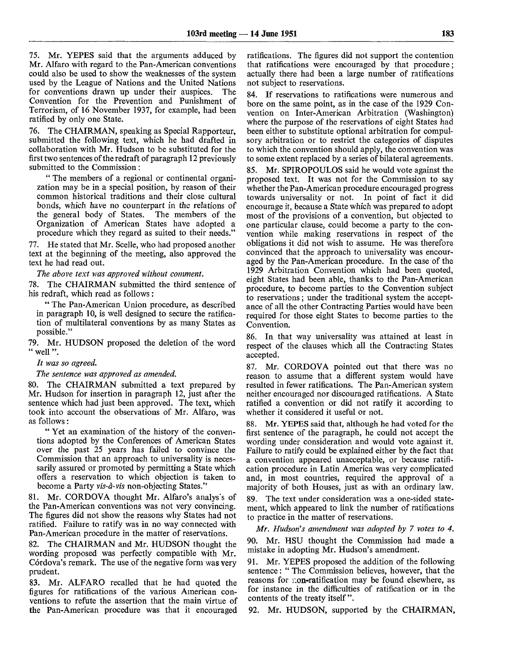75. Mr. YEPES said that the arguments adduced by Mr. Alfaro with regard to the Pan-American conventions could also be used to show the weaknesses of the system used by the League of Nations and the United Nations for conventions drawn up under their auspices. The Convention for the Prevention and Punishment of Terrorism, of 16 November 1937, for example, had been ratified by only one State.

76. The CHAIRMAN, speaking as Special Rapporteur, submitted the following text, which he had drafted in collaboration with Mr. Hudson to be substituted for the first two sentences of the redraft of paragraph 12 previously submitted to the Commission:

" The members of a regional or continental organization may be in a special position, by reason of their common historical traditions and their close cultural bonds, which have no counterpart in the relations of the general body of States. The members of the Organization of American States have adopted a procedure which they regard as suited to their needs."

77. He stated that Mr. Scelle, who had proposed another text at the beginning of the meeting, also approved the text he had read out.

*The above text was approved without comment.*

78. The CHAIRMAN submitted the third sentence of his redraft, which read as follows:

" The Pan-American Union procedure, as described in paragraph 10, is well designed to secure the ratification of multilateral conventions by as many States as possible."

79. Mr. HUDSON proposed the deletion of the word " well".

### *It was so agreed.*

#### *The sentence was approved as amended.*

80. The CHAIRMAN submitted a text prepared by Mr. Hudson for insertion in paragraph 12, just after the sentence which had just been approved. The text, which took into account the observations of Mr. Alfaro, was as follows:

" Yet an examination of the history of the conventions adopted by the Conferences of American States over the past 25 years has failed *to* convince the Commission that an approach to universality is necessarily assured or promoted by permitting a State which offers a reservation to which objection is taken to become a Party *vis-a-vis* non-objecting States."

81. Mr. CORDOVA thought Mr. Alfaro's analys's of the Pan-American conventions was not very convincing. The figures did not show the reasons why States had not ratified. Failure to ratify was in no way connected with Pan-American procedure in the matter of reservations.

82. The CHAIRMAN and Mr. HUDSON thought the wording proposed was perfectly compatible with Mr. Córdova's remark. The use of the negative form was very prudent.

83. Mr. ALFARO recalled that he had quoted the figures for ratifications of the various American conventions to refute the assertion that the main virtue of the Pan-American procedure was that it encouraged ratifications. The figures did not support the contention that ratifications were encouraged by that procedure; actually there had been a large number of ratifications not subject to reservations.

84. If reservations to ratifications were numerous and bore on the same point, as in the case of the 1929 Convention on Inter-American Arbitration (Washington) where the purpose of the reservations of eight States had been either to substitute optional arbitration for compulsory arbitration or to restrict the categories of disputes to which the convention should apply, the convention was to some extent replaced by a series of bilateral agreements.

85. Mr. SPIROPOULOS said he would vote against the proposed text. It was not for the Commission to say whether the Pan-American procedure encouraged progress towards universality or not. In point of fact it did encourage it, because a State which was prepared to adopt most of the provisions of a convention, but objected to one particular clause, could become a party to the convention while making reservations in respect of the obligations it did not wish to assume. He was therefore convinced that the approach to universality was encouraged by the Pan-American procedure. In the case of the 1929 Arbitration Convention which had been quoted, eight States had been able, thanks to the Pan-American procedure, to become parties to the Convention subject to reservations; under the traditional system the acceptance of all the other Contracting Parties would have been required for those eight States to become parties to the Convention.

86. In that way universality was attained at least in respect of the clauses which all the Contracting States accepted.

87. Mr. CORDOVA pointed out that there was no reason to assume that a different system would have resulted in fewer ratifications. The Pan-American system neither encouraged nor discouraged ratifications. A State ratified a convention or did not ratify it according to whether it considered it useful or not.

88. Mr. YEPES said that, although he had voted for the first sentence of the paragraph, he could not accept the wording under consideration and would vote against it. Failure to ratify could be explained either by the fact that a convention appeared unacceptable, or because ratification procedure in Latin America was very complicated and, in most countries, required the approval of a majority of both Houses, just as with an ordinary law.

89. The text under consideration was a one-sided statement, which appeared to link the number of ratifications to practice in the matter of reservations.

*Mr. Hudson's amendment was adopted by 7 votes to 4.*

90. Mr. HSU thought the Commission had made a mistake in adopting Mr. Hudson's amendment.

91. Mr. YEPES proposed the addition of the following sentence: " The Commission believes, however, that the reasons for r.on-ratification may be found elsewhere, as for instance in the difficulties of ratification or in the contents of the treaty itself ".

92. Mr. HUDSON, supported by the CHAIRMAN,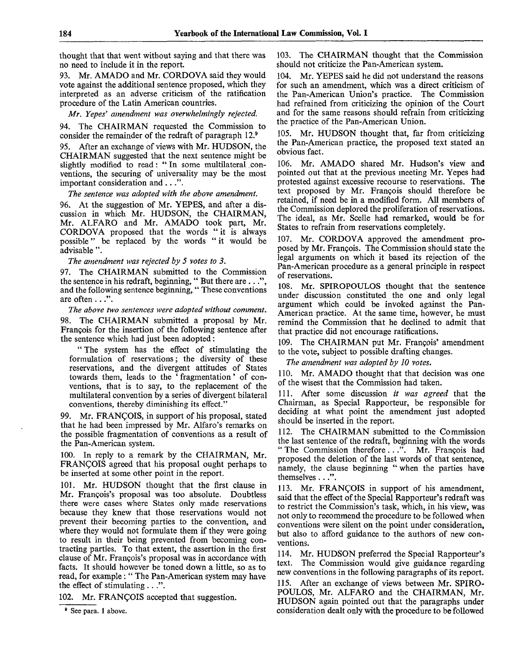thought that that went without saying and that there was no need to include it in the report.

93. Mr. AMADO and Mr. CORDOVA said they would vote against the additional sentence proposed, which they interpreted as an adverse criticism of the ratification procedure of the Latin American countries.

*Mr. Yepes' amendment was overwhelmingly rejected.*

94. The CHAIRMAN requested the Commission to consider the remainder of the redraft of paragraph 12.<sup>9</sup>

95. After an exchange of views with Mr. HUDSON, the CHAIRMAN suggested that the next sentence might be slightly modified to read: "In some multilateral conventions, the securing of universality may be the most important consideration and . . .".

*The sentence was adopted with the above amendment.*

96. At the suggestion of Mr. YEPES, and after a discussion in which Mr. HUDSON, the CHAIRMAN, Mr. ALFARO and Mr. AMADO took part, Mr. CORDOVA proposed that the words "it is always possible" be replaced by the words " it would be advisable ".

*The amendment was rejected by 5 votes to 3.*

97. The CHAIRMAN submitted to the Commission the sentence in his redraft, beginning, " But there are ..." , and the following sentence beginning, '' These conventions are often . . .".

*The above two sentences were adopted without comment.* 98. The CHAIRMAN submitted a proposal by Mr. Francois for the insertion of the following sentence after the sentence which had just been adopted:

" The system has the effect of stimulating the formulation of reservations; the diversity of these reservations, and the divergent attitudes of States towards them, leads to the ' fragmentation' of conventions, that is to say, to the replacement of the multilateral convention by a series of divergent bilateral conventions, thereby diminishing its effect."

99. Mr. FRANCOIS, in support of his proposal, stated that he had been impressed by Mr. Alfaro's remarks on the possible fragmentation of conventions as a result of the Pan-American system.

100. In reply to a remark by the CHAIRMAN, Mr. FRANCOIS agreed that his proposal ought perhaps to be inserted at some other point in the report.

101. Mr. HUDSON thought that the first clause in Mr. Francois's proposal was too absolute. Doubtless there were cases where States only made reservations because they knew that those reservations would not prevent their becoming parties to the convention, and where they would not formulate them if they were going to result in their being prevented from becoming contracting parties. To that extent, the assertion in the first clause of Mr. Francois's proposal was in accordance with facts. It should however be toned down a little, so as to read, for example: " The Pan-American system may have the effect of stimulating  $\ldots$ ".

102. Mr. FRANCOIS accepted that suggestion.

<sup>9</sup> See para. 1 above.

103. The CHAIRMAN thought that the Commission should not criticize the Pan-American system.

104. Mr. YEPES said he did not understand the reasons for such an amendment, which was a direct criticism of the Pan-American Union's practice. The Commission had refrained from criticizing the opinion of the Court and for the same reasons should refrain from criticizing the practice of the Pan-American Union.

105. Mr. HUDSON thought that, far from criticizing the Pan-American practice, the proposed text stated an obvious fact.

106. Mr. AMADO shared Mr. Hudson's view and pointed out that at the previous meeting Mr. Yepes had protested against excessive recourse to reservations. The text proposed by Mr. Frangois should therefore be retained, if need be in a modified form. All members of the Commission deplored the proliferation of reservations. The ideal, as Mr. Scelle had remarked, would be for States to refrain from reservations completely.

107. Mr. CORDOVA approved the amendment proposed by Mr. Frangois. The Commission should state the legal arguments on which it based its rejection of the Pan-American procedure as a general principle in respect of reservations.

108. Mr. SPIROPOULOS thought that the sentence under discussion constituted the one and only legal argument which could be invoked against the Pan-American practice. At the same time, however, he must remind the Commission that he declined to admit that that practice did not encourage ratifications.

109. The CHAIRMAN put Mr. Francois' amendment to the vote, subject to possible drafting changes.

*The amendment was adopted by 10 votes.*

110. Mr. AMADO thought that that decision was one of the wisest that the Commission had taken.

111. After some discussion *it was agreed* that the Chairman, as Special Rapporteur, be responsible for deciding at what point the amendment just adopted should be inserted in the report.

112. The CHAIRMAN submitted to the Commission the last sentence of the redraft, beginning with the words " The Commission therefore ...". Mr. François had proposed the deletion of the last words of that sentence, namely, the clause beginning " when the parties have themselves . ..".

113. Mr. FRANCOIS in support of his amendment, said that the effect of the Special Rapporteur's redraft was to restrict the Commission's task, which, in his view, was not only to recommend the procedure to be followed when conventions were silent on the point under consideration, but also to afford guidance to the authors of new conventions.

114. Mr. HUDSON preferred the Special Rapporteur's text. The Commission would give guidance regarding new conventions in the following paragraphs of its report.

115. After an exchange of views between Mr. SPIRO-POULOS, Mr. ALFARO and the CHAIRMAN, Mr. HUDSON again pointed out that the paragraphs under consideration dealt only with the procedure to be followed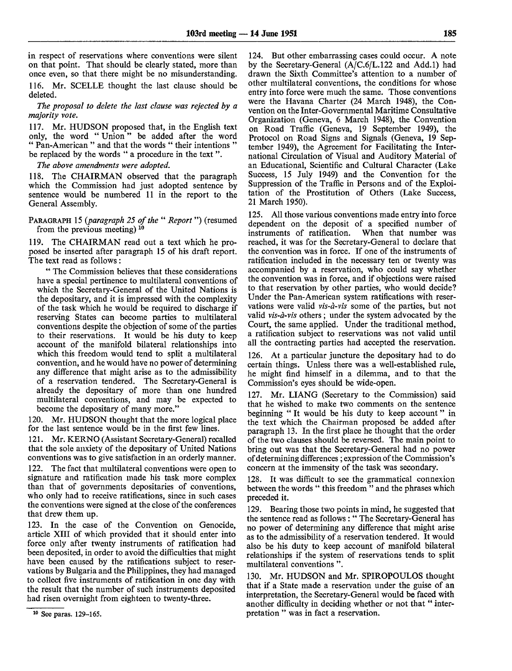in respect of reservations where conventions were silent on that point. That should be clearly stated, more than once even, so that there might be no misunderstanding. 116. Mr. SCELLE thought the last clause should be

*The proposal to delete the last clause was rejected by a majority vote.*

117. Mr. HUDSON proposed that, in the English text only, the word " Union" be added after the word " Pan-American " and that the words " their intentions " be replaced by the words " a procedure in the text".

*The above amendments were adopted.*

deleted.

118. The CHAIRMAN observed that the paragraph which the Commission had just adopted sentence by sentence would be numbered 11 in the report to the General Assembly.

PARAGRAPH 15 *{paragraph 25 of the* " *Report*") (resumed from the previous meeting)  $10$ 

119. The CHAIRMAN read out a text which he proposed be inserted after paragraph 15 of his draft report. The text read as follows :

" The Commission believes that these considerations have a special pertinence to multilateral conventions of which the Secretary-General of the United Nations is the depositary, and it is impressed with the complexity of the task which he would be required to discharge if reserving States can become parties to multilateral conventions despite the objection of some of the parties to their reservations. It would be his duty to keep account of the manifold bilateral relationships into which this freedom would tend to split a multilateral convention, and he would have no power of determining any difference that might arise as to the admissibility of a reservation tendered. The Secretary-General is already the depositary of more than one hundred multilateral conventions, and may be expected to become the depositary of many more."

120. Mr. HUDSON thought that the more logical place for the last sentence would be in the first few lines.

121. Mr. KERNO (Assistant Secretary-General) recalled that the sole anxiety of the depositary of United Nations conventions was to give satisfaction in an orderly manner.

122. The fact that multilateral conventions were open to signature and ratification made his task more complex than that of governments depositaries of conventions, who only had to receive ratifications, since in such cases the conventions were signed at the close of the conferences that drew them up.

123. In the case of the Convention on Genocide, article XIII of which provided that it should enter into force only after twenty instruments of ratification had been deposited, in order to avoid the difficulties that might have been caused by the ratifications subject to reservations by Bulgaria and the Philippines, they had managed to collect five instruments of ratification in one day with the result that the number of such instruments deposited had risen overnight from eighteen to twenty-three.

124. But other embarrassing cases could occur. A note by the Secretary-General (A/C.6/L.122 and Add.l) had drawn the Sixth Committee's attention to a number of other multilateral conventions, the conditions for whose entry into force were much the same. Those conventions were the Havana Charter (24 March 1948), the Convention on the Inter-Governmental Maritime Consultative Organization (Geneva, 6 March 1948), the Convention on Road Traffic (Geneva, 19 September 1949), the Protocol on Road Signs and Signals (Geneva, 19 September 1949), the Agreement for Facilitating the International Circulation of Visual and Auditory Material of an Educational, Scientific and Cultural Character (Lake Success, 15 July 1949) and the Convention for the Suppression of the Traffic in Persons and of the Exploitation of the Prostitution of Others (Lake Success, 21 March 1950).

125. All those various conventions made entry into force dependent on the deposit of a specified number of instruments of ratification. When that number was reached, it was for the Secretary-General to declare that the convention was in force. If one of the instruments of ratification included in the necessary ten or twenty was accompanied by a reservation, who could say whether the convention was in force, and if objections were raised to that reservation by other parties, who would decide? Under the Pan-American system ratifications with reservations were valid *vis-a-vis* some of the parties, but not valid *vis-a-vis* others; under the system advocated by the Court, the same applied. Under the traditional method, a ratification subject to reservations was not valid until all the contracting parties had accepted the reservation.

126. At a particular juncture the depositary had to do certain things. Unless there was a well-established rule, he might find himself in a dilemma, and to that the Commission's eyes should be wide-open.

127. Mr. LIANG (Secretary to the Commission) said that he wished to make two comments on the sentence beginning "It would be his duty to keep account" in the text which the Chairman proposed be added after paragraph 13. In the first place he thought that the order of the two clauses should be reversed. The main point to bring out was that the Secretary-General had no power of determining differences; expression of the Commission's concern at the immensity of the task was secondary.

128. It was difficult to see the grammatical connexion between the words " this freedom" and the phrases which preceded it.

129. Bearing those two points in mind, he suggested that the sentence read as follows : " The Secretary-General has no power of determining any difference that might arise as to the admissibility of a reservation tendered. It would also be his duty to keep account of manifold bilateral relationships if the system of reservations tends to split multilateral conventions ".

130. Mr. HUDSON and Mr. SPIROPOULOS thought that if a State made a reservation under the guise of an interpretation, the Secretary-General would be faced with another difficulty in deciding whether or not that " interpretation " was in fact a reservation.

<sup>10</sup> See paras. 129-165.